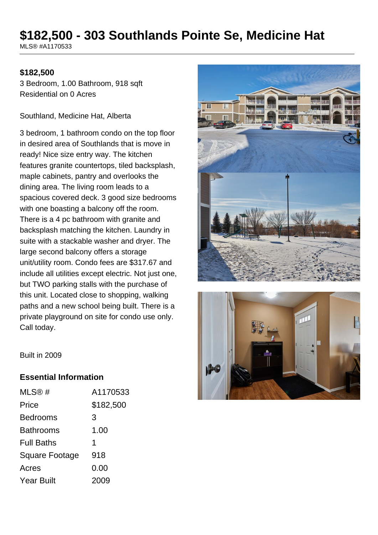# **\$182,500 - 303 Southlands Pointe Se, Medicine Hat**

MLS® #A1170533

#### **\$182,500**

3 Bedroom, 1.00 Bathroom, 918 sqft Residential on 0 Acres

Southland, Medicine Hat, Alberta

3 bedroom, 1 bathroom condo on the top floor in desired area of Southlands that is move in ready! Nice size entry way. The kitchen features granite countertops, tiled backsplash, maple cabinets, pantry and overlooks the dining area. The living room leads to a spacious covered deck. 3 good size bedrooms with one boasting a balcony off the room. There is a 4 pc bathroom with granite and backsplash matching the kitchen. Laundry in suite with a stackable washer and dryer. The large second balcony offers a storage unit/utility room. Condo fees are \$317.67 and include all utilities except electric. Not just one, but TWO parking stalls with the purchase of this unit. Located close to shopping, walking paths and a new school being built. There is a private playground on site for condo use only. Call today.





Built in 2009

#### **Essential Information**

| MLS@#             | A1170533  |
|-------------------|-----------|
| Price             | \$182,500 |
| Bedrooms          | 3         |
| Bathrooms         | 1.00      |
| <b>Full Baths</b> | 1         |
| Square Footage    | 918       |
| Acres             | 0.00      |
| Year Built        | 2009      |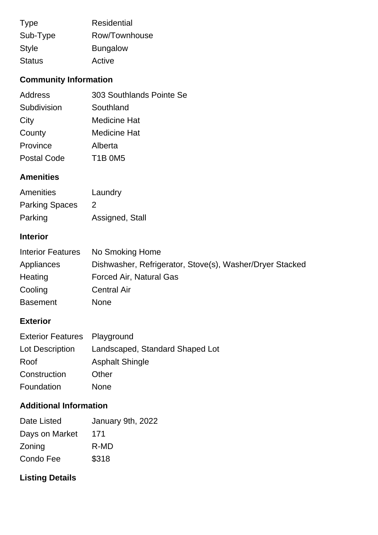| <b>Type</b>   | <b>Residential</b> |
|---------------|--------------------|
| Sub-Type      | Row/Townhouse      |
| <b>Style</b>  | <b>Bungalow</b>    |
| <b>Status</b> | Active             |

# **Community Information**

| <b>Address</b>     | 303 Southlands Pointe Se |
|--------------------|--------------------------|
| Subdivision        | Southland                |
| City               | <b>Medicine Hat</b>      |
| County             | <b>Medicine Hat</b>      |
| Province           | Alberta                  |
| <b>Postal Code</b> | <b>T1B 0M5</b>           |
|                    |                          |

## **Amenities**

| Amenities             | Laundry         |
|-----------------------|-----------------|
| <b>Parking Spaces</b> |                 |
| Parking               | Assigned, Stall |

## **Interior**

| <b>Interior Features</b> | No Smoking Home                                          |
|--------------------------|----------------------------------------------------------|
| Appliances               | Dishwasher, Refrigerator, Stove(s), Washer/Dryer Stacked |
| Heating                  | Forced Air, Natural Gas                                  |
| Cooling                  | <b>Central Air</b>                                       |
| <b>Basement</b>          | <b>None</b>                                              |

## **Exterior**

| <b>Exterior Features</b> Playground |                                 |
|-------------------------------------|---------------------------------|
| Lot Description                     | Landscaped, Standard Shaped Lot |
| Roof                                | <b>Asphalt Shingle</b>          |
| Construction                        | Other                           |
| Foundation                          | None                            |

## **Additional Information**

| Date Listed    | January 9th, 2022 |
|----------------|-------------------|
| Days on Market | 171               |
| Zoning         | R-MD              |
| Condo Fee      | \$318             |

# **Listing Details**